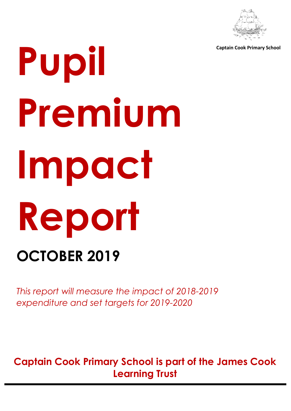

**Captain Cook Primary School**

# **Pupil Premium Impact Report OCTOBER 2019**

*This report will measure the impact of 2018-2019 expenditure and set targets for 2019-2020*

**Captain Cook Primary School is part of the James Cook Learning Trust**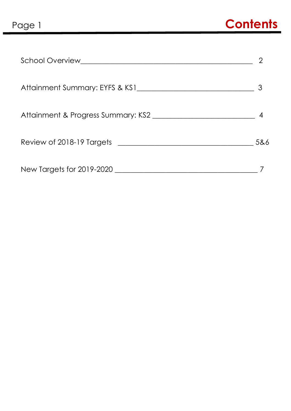| School Overview and the contract of the contract of the contract of the contract of the contract of the contract of the contract of the contract of the contract of the contract of the contract of the contract of the contra |     |
|--------------------------------------------------------------------------------------------------------------------------------------------------------------------------------------------------------------------------------|-----|
|                                                                                                                                                                                                                                |     |
|                                                                                                                                                                                                                                |     |
| Review of 2018-19 Targets <b>Exercise 2018-19</b> Targets                                                                                                                                                                      | 5&6 |
|                                                                                                                                                                                                                                |     |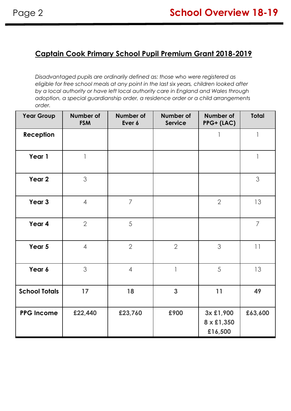# **Captain Cook Primary School Pupil Premium Grant 2018-2019**

*Disadvantaged pupils are ordinarily defined as: those who were registered as eligible for free school meals at any point in the last six years, children looked after by a local authority or have left local authority care in England and Wales through adoption, a special guardianship order, a residence order or a child arrangements order.* 

| <b>Year Group</b>    | Number of<br><b>FSM</b> | <b>Number of</b><br>Ever 6 | <b>Number of</b><br><b>Service</b> | Number of<br>PPG+ (LAC)            | <b>Total</b>             |
|----------------------|-------------------------|----------------------------|------------------------------------|------------------------------------|--------------------------|
| Reception            |                         |                            |                                    | 1                                  | 1                        |
| Year 1               | 1                       |                            |                                    |                                    | $\overline{\phantom{a}}$ |
| Year <sub>2</sub>    | 3                       |                            |                                    |                                    | 3                        |
| Year 3               | $\overline{4}$          | $\overline{7}$             |                                    | $\overline{2}$                     | 13                       |
| Year 4               | $\overline{2}$          | 5                          |                                    |                                    | $\overline{7}$           |
| Year 5               | $\overline{4}$          | $\overline{2}$             | $\overline{2}$                     | 3                                  | 11                       |
| Year 6               | 3                       | $\overline{4}$             | $\mathbf{1}$                       | 5                                  | 13                       |
| <b>School Totals</b> | 17                      | 18                         | 3                                  | 11                                 | 49                       |
| <b>PPG Income</b>    | £22,440                 | £23,760                    | £900                               | 3x £1,900<br>8 x £1,350<br>£16,500 | £63,600                  |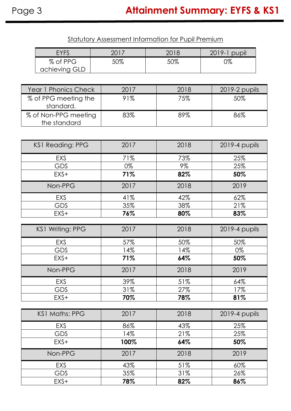Statutory Assessment Information for Pupil Premium

|            | <b>EYFS</b>             | 2017 | 2018  | 2019-1 pupil  |  |  |  |
|------------|-------------------------|------|-------|---------------|--|--|--|
|            | % of PPG                | 50%  | 50%   | 0%            |  |  |  |
|            | achieving GLD           |      |       |               |  |  |  |
|            |                         |      |       |               |  |  |  |
|            | Year 1 Phonics Check    | 2017 | 2018  | 2019-2 pupils |  |  |  |
|            | % of PPG meeting the    | 91%  | 75%   | 50%           |  |  |  |
|            | standard.               |      |       |               |  |  |  |
|            | % of Non-PPG meeting    | 83%  | 89%   | 86%           |  |  |  |
|            | the standard            |      |       |               |  |  |  |
|            |                         |      |       |               |  |  |  |
|            | <b>KS1 Reading: PPG</b> | 2017 | 2018  | 2019-4 pupils |  |  |  |
|            | EXS                     | 71%  | 73%   | 25%           |  |  |  |
| <b>GDS</b> |                         | 0%   | $9\%$ | 25%           |  |  |  |
|            | EXS+                    | 71%  | 82%   | 50%           |  |  |  |
|            | Non-PPG                 | 2017 | 2018  | 2019          |  |  |  |
|            | <b>EXS</b>              | 41%  | 42%   | 62%           |  |  |  |
|            | <b>GDS</b>              | 35%  | 38%   | 21%           |  |  |  |
|            | EXS+                    | 76%  | 80%   | 83%           |  |  |  |
|            |                         |      |       |               |  |  |  |
|            | KS1 Writing: PPG        | 2017 | 2018  | 2019-4 pupils |  |  |  |
|            | EXS                     | 57%  | 50%   | 50%           |  |  |  |
|            | <b>GDS</b>              | 14%  | 14%   | 0%            |  |  |  |
|            | EXS+                    | 71%  | 64%   | 50%           |  |  |  |
|            | Non-PPG                 | 2017 | 2018  | 2019          |  |  |  |
|            | <b>EXS</b>              | 39%  | 51%   | 64%           |  |  |  |
|            | <b>GDS</b>              | 31%  | 27%   | 17%           |  |  |  |
|            | EXS+                    | 70%  | 78%   | 81%           |  |  |  |
|            |                         |      |       |               |  |  |  |
|            | <b>KS1 Maths: PPG</b>   | 2017 | 2018  | 2019-4 pupils |  |  |  |
|            | EXS                     | 86%  | 43%   | 25%           |  |  |  |
|            | <b>GDS</b>              | 14%  | 21%   | 25%           |  |  |  |
|            | EXS+                    | 100% | 64%   | 50%           |  |  |  |
|            | Non-PPG                 | 2017 | 2018  | 2019          |  |  |  |
|            | <b>EXS</b>              | 43%  | 51%   | 60%           |  |  |  |
|            | <b>GDS</b>              | 35%  | 31%   | 26%           |  |  |  |
|            | EXS+                    | 78%  | 82%   | 86%           |  |  |  |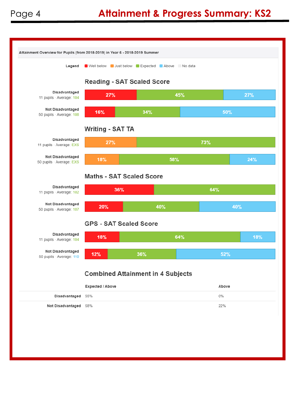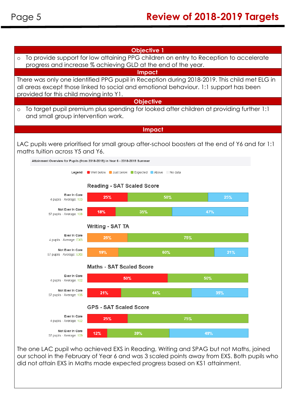

The one LAC pupil who achieved EXS in Reading, Writing and SPAG but not Maths, joined our school in the February of Year 6 and was 3 scaled points away from EXS. Both pupils who did not attain EXS in Maths made expected progress based on KS1 attainment.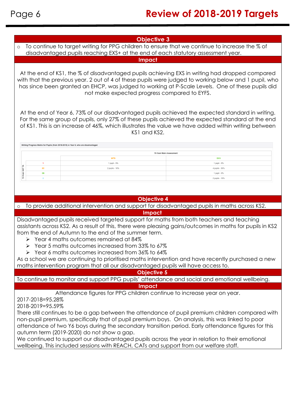